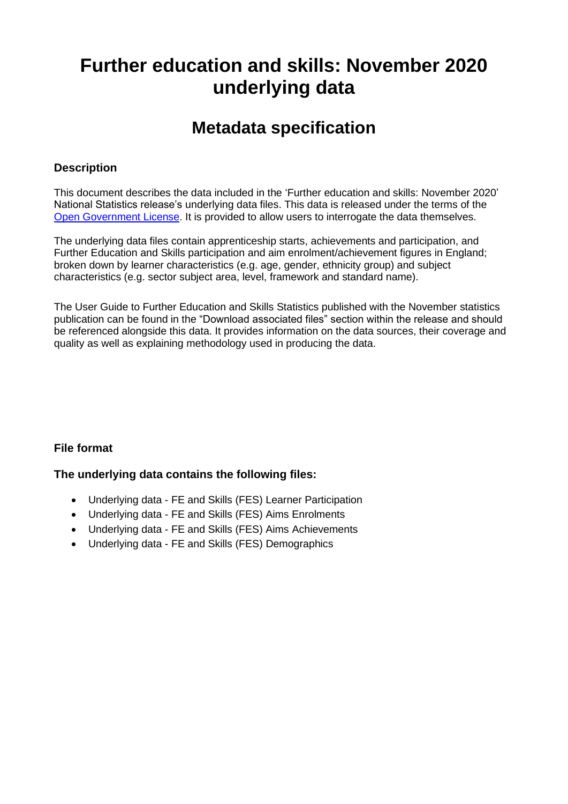# **Further education and skills: November 2020 underlying data**

## **Metadata specification**

#### **Description**

This document describes the data included in the 'Further education and skills: November 2020' National Statistics release's underlying data files. This data is released under the terms of the [Open Government License.](http://www.nationalarchives.gov.uk/doc/open-government-licence/) It is provided to allow users to interrogate the data themselves.

The underlying data files contain apprenticeship starts, achievements and participation, and Further Education and Skills participation and aim enrolment/achievement figures in England; broken down by learner characteristics (e.g. age, gender, ethnicity group) and subject characteristics (e.g. sector subject area, level, framework and standard name).

The User Guide to Further Education and Skills Statistics published with the November statistics publication can be found in the "Download associated files" section within the release and should be referenced alongside this data. It provides information on the data sources, their coverage and quality as well as explaining methodology used in producing the data.

#### **File format**

#### **The underlying data contains the following files:**

- Underlying data FE and Skills (FES) Learner Participation
- Underlying data FE and Skills (FES) Aims Enrolments
- Underlying data FE and Skills (FES) Aims Achievements
- Underlying data FE and Skills (FES) Demographics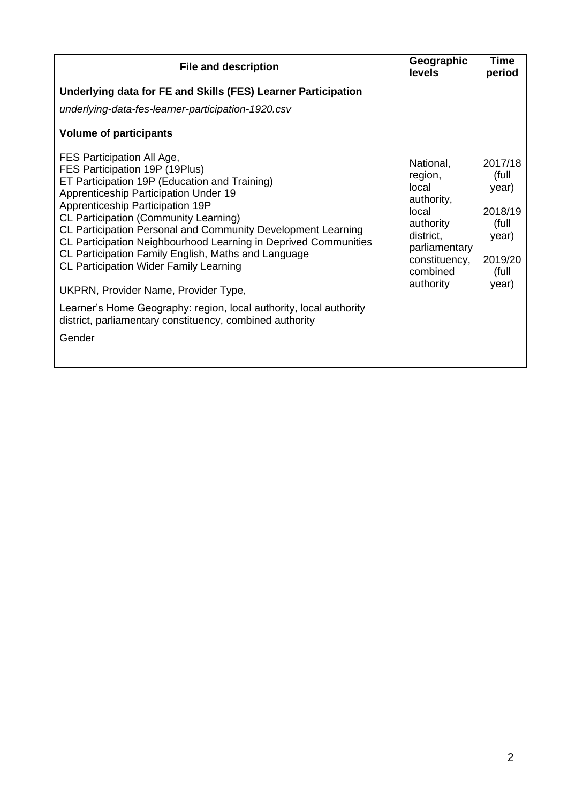| <b>File and description</b>                                                                                                                                                                                                                                                                                                                                                                                                                                                                                                                                                                                                                                               | Geographic<br>levels                                                                                                                      | <b>Time</b><br>period                                                               |
|---------------------------------------------------------------------------------------------------------------------------------------------------------------------------------------------------------------------------------------------------------------------------------------------------------------------------------------------------------------------------------------------------------------------------------------------------------------------------------------------------------------------------------------------------------------------------------------------------------------------------------------------------------------------------|-------------------------------------------------------------------------------------------------------------------------------------------|-------------------------------------------------------------------------------------|
| Underlying data for FE and Skills (FES) Learner Participation<br>underlying-data-fes-learner-participation-1920.csv                                                                                                                                                                                                                                                                                                                                                                                                                                                                                                                                                       |                                                                                                                                           |                                                                                     |
| <b>Volume of participants</b>                                                                                                                                                                                                                                                                                                                                                                                                                                                                                                                                                                                                                                             |                                                                                                                                           |                                                                                     |
| FES Participation All Age,<br>FES Participation 19P (19Plus)<br>ET Participation 19P (Education and Training)<br>Apprenticeship Participation Under 19<br>Apprenticeship Participation 19P<br><b>CL Participation (Community Learning)</b><br>CL Participation Personal and Community Development Learning<br>CL Participation Neighbourhood Learning in Deprived Communities<br>CL Participation Family English, Maths and Language<br><b>CL Participation Wider Family Learning</b><br>UKPRN, Provider Name, Provider Type,<br>Learner's Home Geography: region, local authority, local authority<br>district, parliamentary constituency, combined authority<br>Gender | National,<br>region,<br>local<br>authority,<br>local<br>authority<br>district,<br>parliamentary<br>constituency,<br>combined<br>authority | 2017/18<br>(full<br>year)<br>2018/19<br>(full<br>year)<br>2019/20<br>(full<br>year) |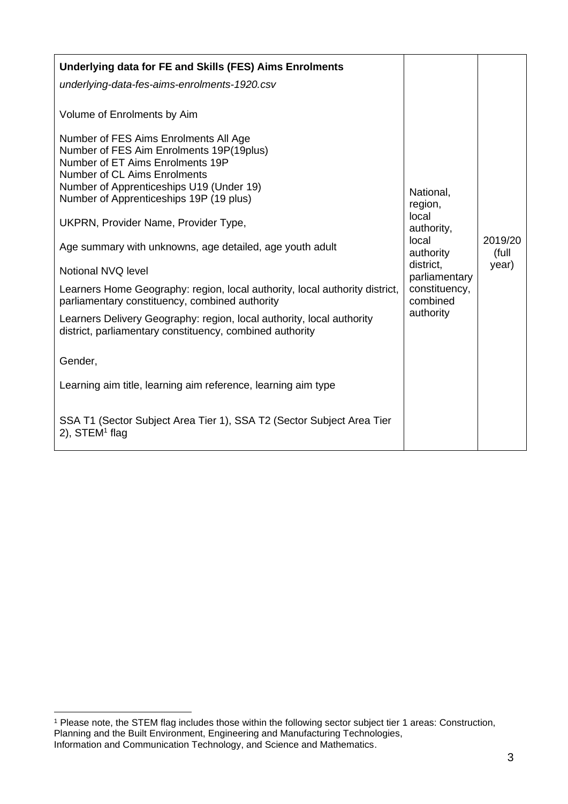| <b>Underlying data for FE and Skills (FES) Aims Enrolments</b>                                                                                        |                            |                  |
|-------------------------------------------------------------------------------------------------------------------------------------------------------|----------------------------|------------------|
| underlying-data-fes-aims-enrolments-1920.csv                                                                                                          |                            |                  |
| Volume of Enrolments by Aim                                                                                                                           |                            |                  |
| Number of FES Aims Enrolments All Age<br>Number of FES Aim Enrolments 19P(19plus)<br>Number of ET Aims Enrolments 19P<br>Number of CL Aims Enrolments |                            |                  |
| Number of Apprenticeships U19 (Under 19)<br>Number of Apprenticeships 19P (19 plus)                                                                   | National,                  |                  |
|                                                                                                                                                       | region,<br>local           |                  |
| UKPRN, Provider Name, Provider Type,                                                                                                                  | authority,                 |                  |
| Age summary with unknowns, age detailed, age youth adult                                                                                              | local<br>authority         | 2019/20<br>(full |
| Notional NVQ level                                                                                                                                    | district,<br>parliamentary | year)            |
| Learners Home Geography: region, local authority, local authority district,<br>parliamentary constituency, combined authority                         | constituency,<br>combined  |                  |
| Learners Delivery Geography: region, local authority, local authority<br>district, parliamentary constituency, combined authority                     | authority                  |                  |
| Gender,                                                                                                                                               |                            |                  |
| Learning aim title, learning aim reference, learning aim type                                                                                         |                            |                  |
| SSA T1 (Sector Subject Area Tier 1), SSA T2 (Sector Subject Area Tier<br>$2$ ), STEM <sup>1</sup> flag                                                |                            |                  |

<span id="page-2-0"></span><sup>1</sup> Please note, the STEM flag includes those within the following sector subject tier 1 areas: Construction, Planning and the Built Environment, Engineering and Manufacturing Technologies, Information and Communication Technology, and Science and Mathematics.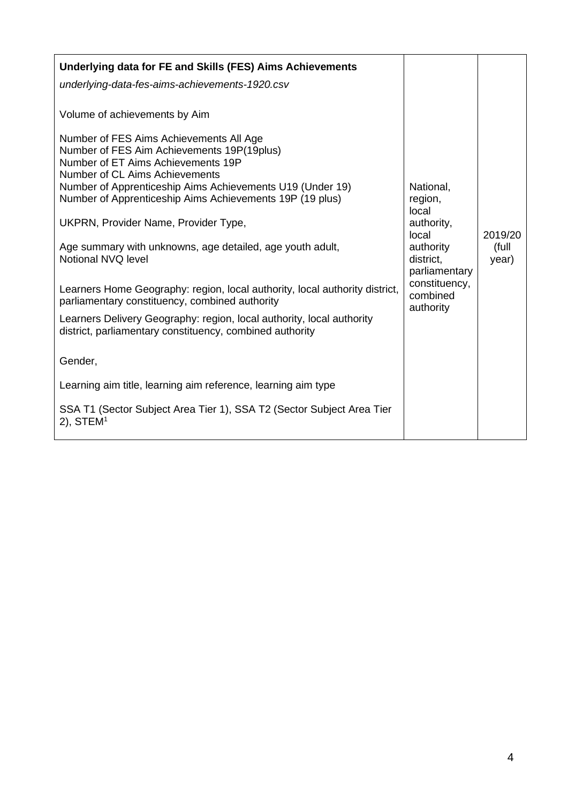| Underlying data for FE and Skills (FES) Aims Achievements<br>underlying-data-fes-aims-achievements-1920.csv<br>Volume of achievements by Aim<br>Number of FES Aims Achievements All Age<br>Number of FES Aim Achievements 19P(19plus)<br>Number of ET Aims Achievements 19P<br>Number of CL Aims Achievements<br>Number of Apprenticeship Aims Achievements U19 (Under 19)<br>Number of Apprenticeship Aims Achievements 19P (19 plus)<br>UKPRN, Provider Name, Provider Type,<br>Age summary with unknowns, age detailed, age youth adult,<br>Notional NVQ level<br>Learners Home Geography: region, local authority, local authority district,<br>parliamentary constituency, combined authority<br>Learners Delivery Geography: region, local authority, local authority<br>district, parliamentary constituency, combined authority<br>Gender, | National,<br>region,<br>local<br>authority,<br>local<br>authority<br>district,<br>parliamentary<br>constituency,<br>combined<br>authority | 2019/20<br>(full<br>year) |
|----------------------------------------------------------------------------------------------------------------------------------------------------------------------------------------------------------------------------------------------------------------------------------------------------------------------------------------------------------------------------------------------------------------------------------------------------------------------------------------------------------------------------------------------------------------------------------------------------------------------------------------------------------------------------------------------------------------------------------------------------------------------------------------------------------------------------------------------------|-------------------------------------------------------------------------------------------------------------------------------------------|---------------------------|
| Learning aim title, learning aim reference, learning aim type<br>SSA T1 (Sector Subject Area Tier 1), SSA T2 (Sector Subject Area Tier<br>$2)$ , STEM <sup>1</sup>                                                                                                                                                                                                                                                                                                                                                                                                                                                                                                                                                                                                                                                                                 |                                                                                                                                           |                           |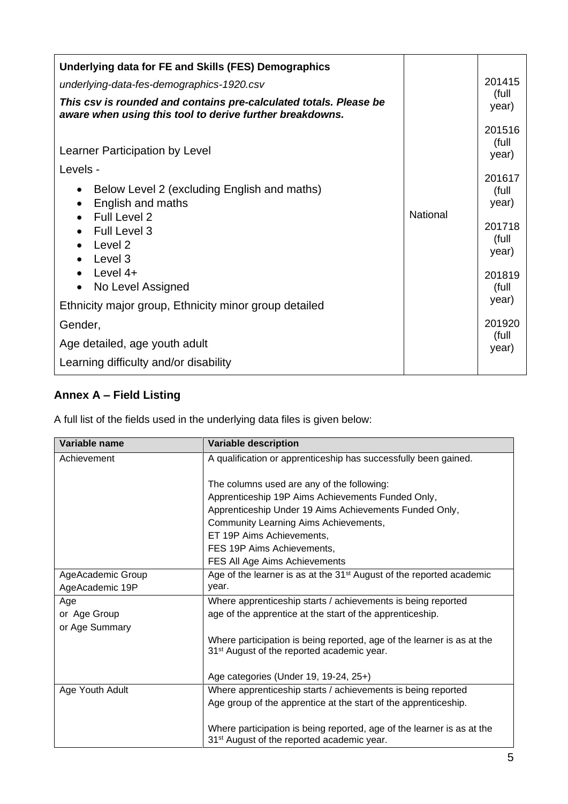| Underlying data for FE and Skills (FES) Demographics                                                                                                                  |          |                                                                         |
|-----------------------------------------------------------------------------------------------------------------------------------------------------------------------|----------|-------------------------------------------------------------------------|
| underlying-data-fes-demographics-1920.csv                                                                                                                             |          | 201415                                                                  |
| This csv is rounded and contains pre-calculated totals. Please be<br>aware when using this tool to derive further breakdowns.                                         |          | (full<br>year)                                                          |
| Learner Participation by Level                                                                                                                                        |          | 201516<br>(full<br>year)                                                |
| Levels -<br>Below Level 2 (excluding English and maths)<br>English and maths<br>Full Level 2<br>Full Level 3<br>Level 2<br>Level 3<br>Level $4+$<br>No Level Assigned | National | 201617<br>(full<br>year)<br>201718<br>(full<br>year)<br>201819<br>(full |
| Ethnicity major group, Ethnicity minor group detailed                                                                                                                 |          | year)                                                                   |
| Gender,                                                                                                                                                               |          | 201920                                                                  |
| Age detailed, age youth adult                                                                                                                                         |          | (full<br>year)                                                          |
| Learning difficulty and/or disability                                                                                                                                 |          |                                                                         |

### **Annex A – Field Listing**

A full list of the fields used in the underlying data files is given below:

| Variable name     | <b>Variable description</b>                                                      |
|-------------------|----------------------------------------------------------------------------------|
| Achievement       | A qualification or apprenticeship has successfully been gained.                  |
|                   |                                                                                  |
|                   | The columns used are any of the following:                                       |
|                   | Apprenticeship 19P Aims Achievements Funded Only,                                |
|                   | Apprenticeship Under 19 Aims Achievements Funded Only,                           |
|                   | Community Learning Aims Achievements,                                            |
|                   | ET 19P Aims Achievements,                                                        |
|                   | FES 19P Aims Achievements,                                                       |
|                   | FES All Age Aims Achievements                                                    |
| AgeAcademic Group | Age of the learner is as at the 31 <sup>st</sup> August of the reported academic |
| AgeAcademic 19P   | year.                                                                            |
| Age               | Where apprenticeship starts / achievements is being reported                     |
| or Age Group      | age of the apprentice at the start of the apprenticeship.                        |
| or Age Summary    |                                                                                  |
|                   | Where participation is being reported, age of the learner is as at the           |
|                   | 31 <sup>st</sup> August of the reported academic year.                           |
|                   |                                                                                  |
|                   | Age categories (Under 19, 19-24, 25+)                                            |
| Age Youth Adult   | Where apprenticeship starts / achievements is being reported                     |
|                   | Age group of the apprentice at the start of the apprenticeship.                  |
|                   |                                                                                  |
|                   | Where participation is being reported, age of the learner is as at the           |
|                   | 31 <sup>st</sup> August of the reported academic year.                           |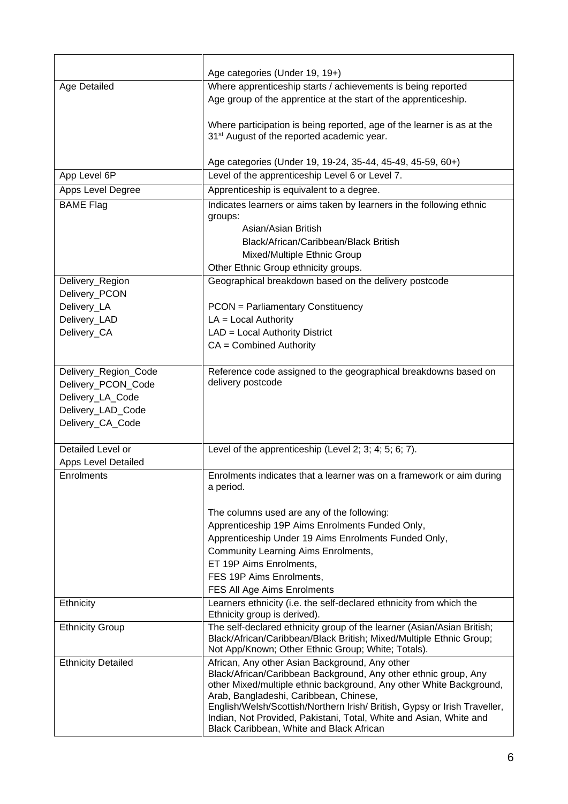|                            | Age categories (Under 19, 19+)                                                                                                         |
|----------------------------|----------------------------------------------------------------------------------------------------------------------------------------|
| Age Detailed               | Where apprenticeship starts / achievements is being reported                                                                           |
|                            | Age group of the apprentice at the start of the apprenticeship.                                                                        |
|                            |                                                                                                                                        |
|                            | Where participation is being reported, age of the learner is as at the                                                                 |
|                            | 31 <sup>st</sup> August of the reported academic year.                                                                                 |
|                            |                                                                                                                                        |
|                            | Age categories (Under 19, 19-24, 35-44, 45-49, 45-59, 60+)                                                                             |
| App Level 6P               | Level of the apprenticeship Level 6 or Level 7.                                                                                        |
| Apps Level Degree          | Apprenticeship is equivalent to a degree.                                                                                              |
| <b>BAME Flag</b>           | Indicates learners or aims taken by learners in the following ethnic                                                                   |
|                            | groups:                                                                                                                                |
|                            | Asian/Asian British                                                                                                                    |
|                            | Black/African/Caribbean/Black British                                                                                                  |
|                            | Mixed/Multiple Ethnic Group                                                                                                            |
|                            | Other Ethnic Group ethnicity groups.                                                                                                   |
| Delivery_Region            | Geographical breakdown based on the delivery postcode                                                                                  |
| Delivery_PCON              |                                                                                                                                        |
| Delivery_LA                | <b>PCON</b> = Parliamentary Constituency                                                                                               |
| Delivery_LAD               | $LA = Local Authority$                                                                                                                 |
| Delivery_CA                | LAD = Local Authority District                                                                                                         |
|                            | $CA = Combined$ Authority                                                                                                              |
|                            |                                                                                                                                        |
| Delivery_Region_Code       | Reference code assigned to the geographical breakdowns based on                                                                        |
| Delivery_PCON_Code         | delivery postcode                                                                                                                      |
| Delivery_LA_Code           |                                                                                                                                        |
| Delivery_LAD_Code          |                                                                                                                                        |
| Delivery_CA_Code           |                                                                                                                                        |
|                            |                                                                                                                                        |
| Detailed Level or          | Level of the apprenticeship (Level 2; 3; 4; 5; 6; 7).                                                                                  |
| <b>Apps Level Detailed</b> |                                                                                                                                        |
| Enrolments                 | Enrolments indicates that a learner was on a framework or aim during                                                                   |
|                            | a period.                                                                                                                              |
|                            |                                                                                                                                        |
|                            | The columns used are any of the following:                                                                                             |
|                            | Apprenticeship 19P Aims Enrolments Funded Only,<br>Apprenticeship Under 19 Aims Enrolments Funded Only,                                |
|                            | <b>Community Learning Aims Enrolments,</b>                                                                                             |
|                            | ET 19P Aims Enrolments,                                                                                                                |
|                            | FES 19P Aims Enrolments,                                                                                                               |
|                            | FES All Age Aims Enrolments                                                                                                            |
| Ethnicity                  | Learners ethnicity (i.e. the self-declared ethnicity from which the                                                                    |
|                            | Ethnicity group is derived).                                                                                                           |
| <b>Ethnicity Group</b>     | The self-declared ethnicity group of the learner (Asian/Asian British;                                                                 |
|                            | Black/African/Caribbean/Black British; Mixed/Multiple Ethnic Group;                                                                    |
|                            | Not App/Known; Other Ethnic Group; White; Totals).                                                                                     |
| <b>Ethnicity Detailed</b>  | African, Any other Asian Background, Any other                                                                                         |
|                            | Black/African/Caribbean Background, Any other ethnic group, Any<br>other Mixed/multiple ethnic background, Any other White Background, |
|                            | Arab, Bangladeshi, Caribbean, Chinese,                                                                                                 |
|                            | English/Welsh/Scottish/Northern Irish/ British, Gypsy or Irish Traveller,                                                              |
|                            | Indian, Not Provided, Pakistani, Total, White and Asian, White and                                                                     |
|                            | Black Caribbean, White and Black African                                                                                               |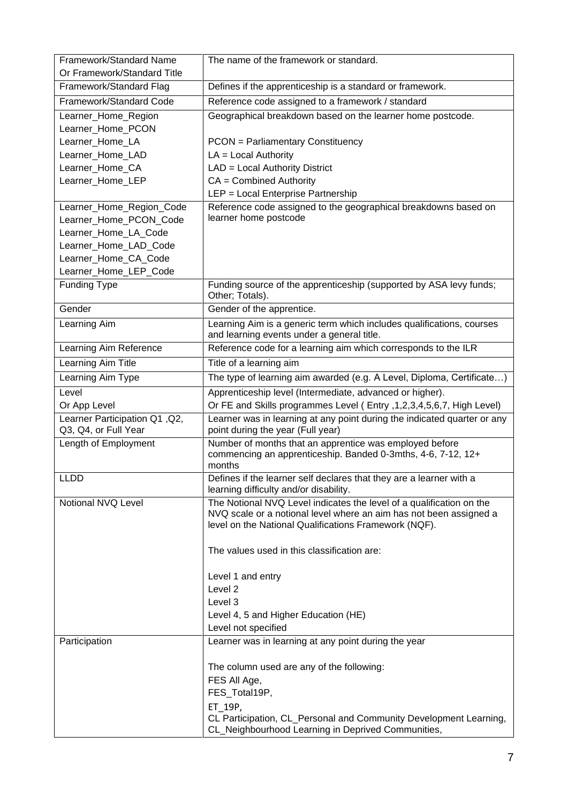| Framework/Standard Name                               | The name of the framework or standard.                                                                                                                                                              |
|-------------------------------------------------------|-----------------------------------------------------------------------------------------------------------------------------------------------------------------------------------------------------|
| Or Framework/Standard Title                           |                                                                                                                                                                                                     |
| Framework/Standard Flag                               | Defines if the apprenticeship is a standard or framework.                                                                                                                                           |
| Framework/Standard Code                               | Reference code assigned to a framework / standard                                                                                                                                                   |
| Learner_Home_Region                                   | Geographical breakdown based on the learner home postcode.                                                                                                                                          |
| Learner_Home_PCON                                     |                                                                                                                                                                                                     |
| Learner_Home_LA                                       | <b>PCON</b> = Parliamentary Constituency                                                                                                                                                            |
| Learner_Home_LAD                                      | $LA = Local Authority$                                                                                                                                                                              |
| Learner_Home_CA                                       | LAD = Local Authority District                                                                                                                                                                      |
| Learner Home LEP                                      | $CA = Combined$ Authority                                                                                                                                                                           |
|                                                       | LEP = Local Enterprise Partnership                                                                                                                                                                  |
| Learner_Home_Region_Code                              | Reference code assigned to the geographical breakdowns based on                                                                                                                                     |
| Learner_Home_PCON_Code                                | learner home postcode                                                                                                                                                                               |
| Learner_Home_LA_Code                                  |                                                                                                                                                                                                     |
| Learner_Home_LAD_Code                                 |                                                                                                                                                                                                     |
| Learner_Home_CA_Code                                  |                                                                                                                                                                                                     |
| Learner_Home_LEP_Code                                 |                                                                                                                                                                                                     |
| <b>Funding Type</b>                                   | Funding source of the apprenticeship (supported by ASA levy funds;<br>Other; Totals).                                                                                                               |
| Gender                                                | Gender of the apprentice.                                                                                                                                                                           |
| Learning Aim                                          | Learning Aim is a generic term which includes qualifications, courses<br>and learning events under a general title.                                                                                 |
| Learning Aim Reference                                | Reference code for a learning aim which corresponds to the ILR                                                                                                                                      |
| Learning Aim Title                                    | Title of a learning aim                                                                                                                                                                             |
| Learning Aim Type                                     | The type of learning aim awarded (e.g. A Level, Diploma, Certificate)                                                                                                                               |
| Level                                                 | Apprenticeship level (Intermediate, advanced or higher).                                                                                                                                            |
| Or App Level                                          | Or FE and Skills programmes Level (Entry , 1, 2, 3, 4, 5, 6, 7, High Level)                                                                                                                         |
| Learner Participation Q1, Q2,<br>Q3, Q4, or Full Year | Learner was in learning at any point during the indicated quarter or any<br>point during the year (Full year)                                                                                       |
| Length of Employment                                  | Number of months that an apprentice was employed before<br>commencing an apprenticeship. Banded 0-3mths, 4-6, 7-12, 12+<br>months                                                                   |
| LLDD                                                  | Defines if the learner self declares that they are a learner with a<br>learning difficulty and/or disability.                                                                                       |
| Notional NVQ Level                                    | The Notional NVQ Level indicates the level of a qualification on the<br>NVQ scale or a notional level where an aim has not been assigned a<br>level on the National Qualifications Framework (NQF). |
|                                                       | The values used in this classification are:                                                                                                                                                         |
|                                                       | Level 1 and entry                                                                                                                                                                                   |
|                                                       | Level <sub>2</sub>                                                                                                                                                                                  |
|                                                       | Level 3                                                                                                                                                                                             |
|                                                       | Level 4, 5 and Higher Education (HE)                                                                                                                                                                |
|                                                       | Level not specified                                                                                                                                                                                 |
| Participation                                         | Learner was in learning at any point during the year                                                                                                                                                |
|                                                       | The column used are any of the following:                                                                                                                                                           |
|                                                       | FES All Age,                                                                                                                                                                                        |
|                                                       | FES_Total19P,                                                                                                                                                                                       |
|                                                       | ET 19P,                                                                                                                                                                                             |
|                                                       | CL Participation, CL_Personal and Community Development Learning,<br>CL_Neighbourhood Learning in Deprived Communities,                                                                             |